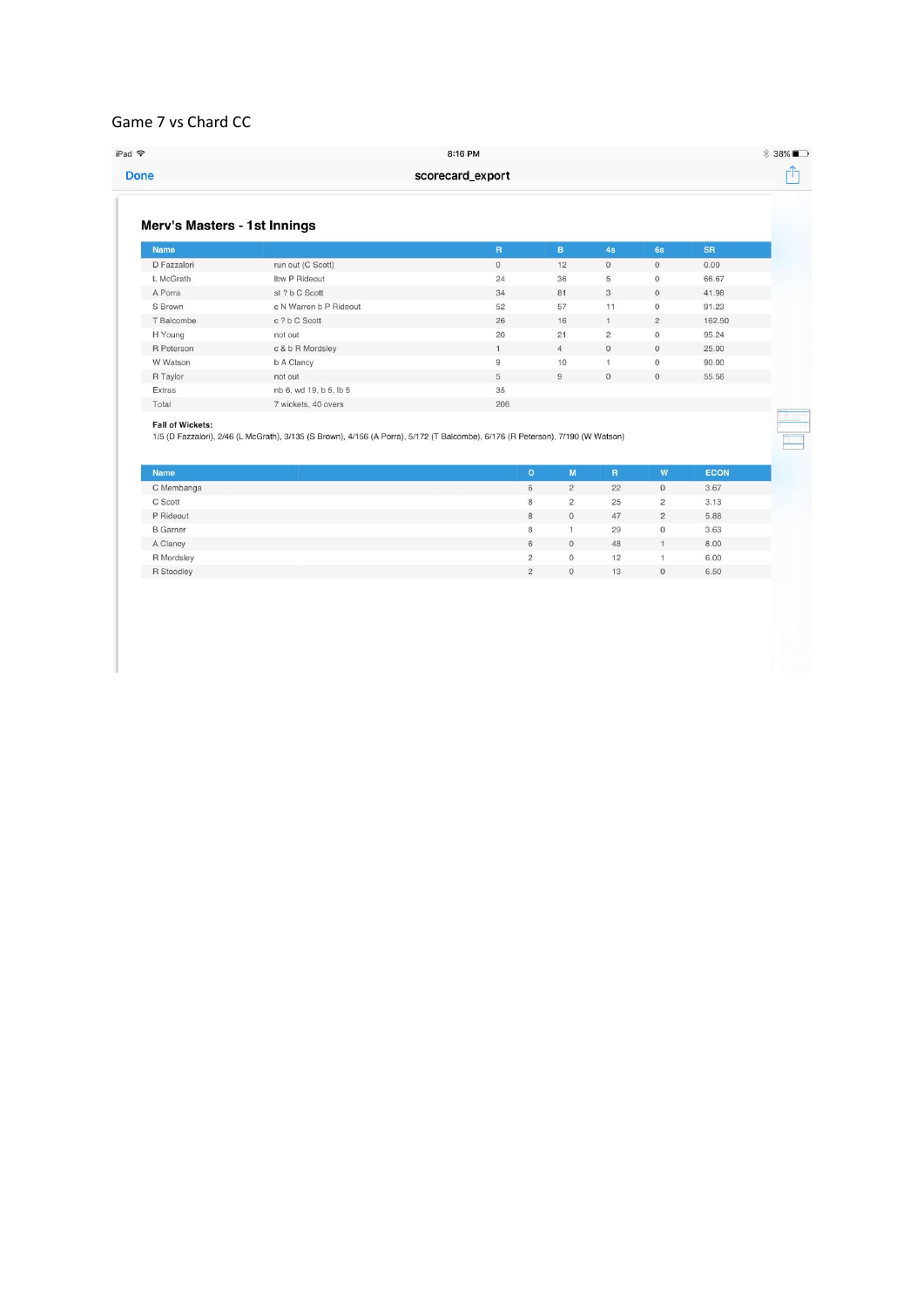## Game 7 vs Chard CC

| Merv's Masters - 1st Innings           |                                                                                                                                 |                         |                |                |                |             |  |
|----------------------------------------|---------------------------------------------------------------------------------------------------------------------------------|-------------------------|----------------|----------------|----------------|-------------|--|
| <b>Name</b>                            |                                                                                                                                 | $\overline{\mathsf{R}}$ | $\mathbf{B}$   | 4s             | 6s             | <b>SR</b>   |  |
| D Fazzalori                            | run out (C Scott)                                                                                                               | $\overline{0}$          | 12             | $\overline{0}$ | $\overline{0}$ | 0.00        |  |
| L McGrath                              | Ibw P Rideout                                                                                                                   | 24                      | 36             | 5              | $\mathbf{0}$   | 66.67       |  |
| A Porra                                | st ? b C Scott                                                                                                                  | 34                      | 81             | 3              | $\mathbf{0}$   | 41.98       |  |
| S Brown                                | c N Warren b P Rideout                                                                                                          | 52                      | 57             | 11             | $\circ$        | 91.23       |  |
| T Balcombe                             | c ? b C Scott                                                                                                                   | 26                      | 16             | $\mathbf{1}$   | $\overline{2}$ | 162.50      |  |
| H Young                                | not out                                                                                                                         | 20                      | 21             | $\overline{c}$ | $\,0\,$        | 95.24       |  |
| R Peterson                             | c & b R Mordsley                                                                                                                | $1^{\circ}$             | $\overline{4}$ | $\circ$        | $\circ$        | 25.00       |  |
| W Watson                               | b A Clancy                                                                                                                      | $\overline{9}$          | 10             | $\mathbf{1}$   | $\mathbf{0}$   | 90.00       |  |
| R Taylor                               | not out                                                                                                                         | 5                       | $\overline{9}$ | $\circ$        | $\overline{0}$ | 55.56       |  |
| Extras                                 | nb 6, wd 19, b 5, lb 5                                                                                                          | 35                      |                |                |                |             |  |
| Total                                  | 7 wickets, 40 overs                                                                                                             | 206                     |                |                |                |             |  |
| <b>Fall of Wickets:</b><br><b>Name</b> | 1/5 (D Fazzalori), 2/46 (L McGrath), 3/135 (S Brown), 4/156 (A Porra), 5/172 (T Balcombe), 6/176 (R Peterson), 7/190 (W Watson) | $\bullet$               | M              | $\mathbb{R}$   | W              | <b>ECON</b> |  |
| C Membanga                             |                                                                                                                                 | 6                       | $\overline{2}$ | 22             | $\mathbf 0$    | 3.67        |  |
| C Scott                                |                                                                                                                                 | 8                       | $\overline{2}$ | 25             | $\overline{2}$ | 3.13        |  |
| P Rideout                              |                                                                                                                                 | 8                       | $\mathbf{0}$   | 47             | $\overline{c}$ | 5.88        |  |
| <b>B</b> Garner                        |                                                                                                                                 | 8                       | $\mathbf{1}$   | 29             | $\mathbf{0}$   | 3.63        |  |
| A Clancy                               |                                                                                                                                 | 6                       | $\mathbf{0}$   | 48             | $\mathbf{1}$   | 8.00        |  |
| R Mordsley                             |                                                                                                                                 | $\overline{2}$          | $\mathbf{O}$   | 12             | $\mathbf{1}$   | 6.00        |  |
| R Stoodley                             |                                                                                                                                 | $\overline{2}$          | $\mathbf{0}$   | 13             | $\mathbf{0}$   | 6.50        |  |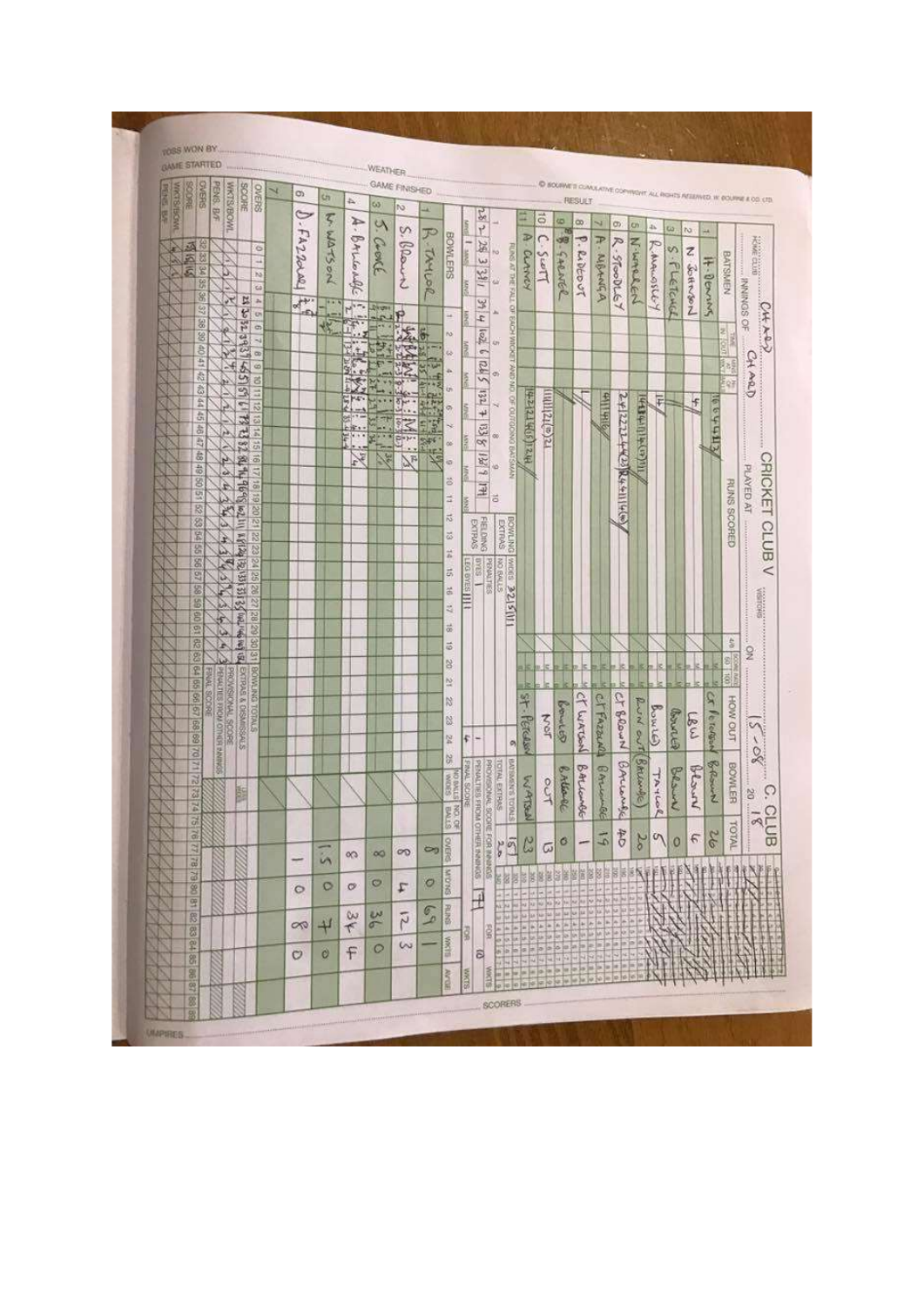|                        | <b>GAME STARTED</b>               |                    |                               |                                                                     |   |                          |               |                      | WEATHER                                                                                                                                                                                                                                                                                                                                                                                                                                                       |               |                       |                    |              |                   |                                     |                                                           |                                                                                |                        |            |                    |                |                    |               |                  |           |               |                 |                    |                                                                        |
|------------------------|-----------------------------------|--------------------|-------------------------------|---------------------------------------------------------------------|---|--------------------------|---------------|----------------------|---------------------------------------------------------------------------------------------------------------------------------------------------------------------------------------------------------------------------------------------------------------------------------------------------------------------------------------------------------------------------------------------------------------------------------------------------------------|---------------|-----------------------|--------------------|--------------|-------------------|-------------------------------------|-----------------------------------------------------------|--------------------------------------------------------------------------------|------------------------|------------|--------------------|----------------|--------------------|---------------|------------------|-----------|---------------|-----------------|--------------------|------------------------------------------------------------------------|
|                        | <b>CVEHS</b><br>BROKE <sub></sub> | <b>PENS, B/F</b>   | <b>INCESSENT</b>              | <b>SPORE</b><br><b>CIVERS</b>                                       | × | O)                       | Uï            | ム                    | ω                                                                                                                                                                                                                                                                                                                                                                                                                                                             |               | <b>GAME FINISHED</b>  |                    |              |                   |                                     |                                                           |                                                                                |                        |            |                    |                |                    |               |                  |           |               |                 |                    | C BOURNE'S CUMULATIVE COPYRIGHT ALL RIGHTS AFSERVED IN DOUBLE A OD CTD |
| <b>MOSE/SEXAR</b><br>S |                                   |                    |                               |                                                                     |   |                          |               |                      |                                                                                                                                                                                                                                                                                                                                                                                                                                                               |               | N                     | u                  |              |                   | $-28 -$                             |                                                           | ž                                                                              | $\ddot{\circ}$         | ω          | œ                  | si             |                    |               |                  |           |               |                 |                    |                                                                        |
|                        |                                   |                    |                               |                                                                     |   | 0.54220001               | W. Warson     | $\mathcal{A}$ .      | $\vee$                                                                                                                                                                                                                                                                                                                                                                                                                                                        |               | Ś,                    |                    |              | <b>Band</b>       |                                     |                                                           |                                                                                | $\circ$                | KG         |                    |                | C)                 | <b>kay</b>    | $\mathfrak{g}_h$ | <b>Ua</b> | to.           | $+4$            |                    |                                                                        |
|                        | 运                                 |                    |                               | ö                                                                   |   |                          |               |                      | Crent                                                                                                                                                                                                                                                                                                                                                                                                                                                         |               | Blanch                |                    | BOWLERS      | $\frac{1}{2}$     | 25 3 31                             | řά                                                        | A. CLANCY                                                                      |                        |            | $\overline{\cdot}$ | H.             |                    |               |                  | S         | Z             |                 |                    | 大学 三十                                                                  |
|                        | ğ<br>E                            |                    | υ                             | ÷<br>ha.                                                            |   |                          |               |                      |                                                                                                                                                                                                                                                                                                                                                                                                                                                               |               |                       |                    |              |                   |                                     |                                                           |                                                                                | Lens                   |            |                    |                |                    |               |                  |           |               |                 |                    |                                                                        |
|                        | šő,                               |                    |                               | ta                                                                  |   |                          |               | BALLENDE             |                                                                                                                                                                                                                                                                                                                                                                                                                                                               |               |                       | R. TAYLOR          |              | š                 |                                     | <b>FLASS AT THE FALL</b><br>sir                           |                                                                                |                        | B-SARNER   | Rideout            | MANGA          | R-StoodLEY         | スミックにつく       | Remainsion       |           |               |                 | <b>BATSMEN</b>     |                                                                        |
|                        | 8<br>57                           |                    | ×                             | 먾<br>$\Delta$                                                       |   | $\frac{1}{2}$<br>÷.      |               | $\frac{1}{\sqrt{2}}$ |                                                                                                                                                                                                                                                                                                                                                                                                                                                               |               |                       |                    |              |                   | 39 4                                | g<br>ж                                                    |                                                                                |                        |            |                    |                |                    |               |                  | FLETCHEL  | <b>GHASHA</b> | It-Denning      |                    |                                                                        |
|                        | 89                                |                    |                               | <b>CH</b><br>$\circ$                                                |   |                          |               | Ĥ                    | $\begin{bmatrix} \mathbf{b}_1 \\ \mathbf{c}_2 \\ \mathbf{c}_3 \\ \mathbf{c}_4 \\ \mathbf{c}_5 \\ \mathbf{c}_6 \\ \mathbf{c}_7 \\ \mathbf{c}_8 \\ \mathbf{c}_8 \\ \mathbf{c}_9 \\ \mathbf{c}_1 \\ \mathbf{c}_1 \\ \mathbf{c}_2 \\ \mathbf{c}_2 \\ \mathbf{c}_3 \\ \mathbf{c}_4 \\ \mathbf{c}_6 \\ \mathbf{c}_7 \\ \mathbf{c}_8 \\ \mathbf{c}_9 \\ \mathbf{c}_9 \\ \mathbf{c}_9 \\ \mathbf{c}_9 \\ \mathbf{c}_9 \\ \mathbf{c}_9 \\ \mathbf{c}_9 \\ \mathbf{c}_$ |               | ۴                     |                    | u            |                   |                                     | <b>FOYS</b>                                               |                                                                                |                        |            |                    |                |                    |               |                  |           |               |                 | 뷕                  | FRINGS OF                                                              |
|                        | 8                                 |                    |                               | s                                                                   |   |                          |               | ÷                    |                                                                                                                                                                                                                                                                                                                                                                                                                                                               |               |                       |                    | na.          |                   | $\overline{\mathbb{Z}^{\text{eq}}}$ | <b>COUNG</b><br><b>CFF</b>                                |                                                                                |                        |            |                    |                |                    |               |                  |           |               |                 | ă<br>ana.          | CAT XOV                                                                |
|                        | 8<br>土地                           |                    | 12                            | $\overline{\mathfrak{m}}$<br>ø                                      |   |                          |               | are <sub>s</sub>     |                                                                                                                                                                                                                                                                                                                                                                                                                                                               | 草             |                       |                    | u            |                   |                                     |                                                           |                                                                                |                        |            |                    |                |                    |               |                  |           |               |                 | <b>Brig</b>        |                                                                        |
|                        | 25                                |                    | ίs,                           | đ                                                                   |   |                          |               |                      |                                                                                                                                                                                                                                                                                                                                                                                                                                                               |               |                       | ě                  | z.           | š                 | 51212                               | <b>STRAY</b><br>œ,                                        |                                                                                |                        |            |                    |                |                    |               |                  |           |               |                 | E o F              | CHARD                                                                  |
|                        | 蕊<br>$\frac{1}{2}$                |                    |                               | ä                                                                   |   |                          |               |                      |                                                                                                                                                                                                                                                                                                                                                                                                                                                               |               | 計                     |                    | üή           |                   | $132 -$                             | š                                                         |                                                                                |                        |            |                    |                |                    |               | Ē                |           | F             |                 |                    |                                                                        |
|                        | Ĝ,                                |                    |                               | 蒜<br>$\overline{\omega}$                                            |   |                          |               |                      |                                                                                                                                                                                                                                                                                                                                                                                                                                                               |               |                       |                    | ø            |                   | $^{+}$                              |                                                           |                                                                                |                        |            |                    | 2116 116       |                    |               |                  |           |               |                 |                    |                                                                        |
|                        | $\frac{1}{62}$                    |                    | Á,                            | ň                                                                   |   |                          |               | ř                    | $\mathbb{R}$                                                                                                                                                                                                                                                                                                                                                                                                                                                  |               | $M_{\frac{2}{5}}$ .   | $\mathbf{E}$<br>49 |              | ş                 | 388                                 | òò                                                        |                                                                                | $E(a)$ <i>izlijhij</i> |            |                    |                |                    |               |                  |           |               | 全国行为习惯          |                    |                                                                        |
|                        | EZ.<br>â                          |                    |                               | heis in 2013 01 11 12 13 28 38 40 10 10 12 13 14<br>51<br>$\vec{a}$ |   |                          |               | Y.                   |                                                                                                                                                                                                                                                                                                                                                                                                                                                               | $\frac{1}{2}$ | $\tilde{\mathcal{F}}$ | ×                  | œ            |                   |                                     | OF OUTGONG BACSMAN                                        | H21(515 7212+1                                                                 |                        |            |                    |                | ()カリハナカにトナイン250    | 141(41)中国中国+カ |                  |           |               |                 |                    |                                                                        |
|                        | 48                                |                    | 7                             | 41                                                                  |   |                          |               |                      |                                                                                                                                                                                                                                                                                                                                                                                                                                                               |               |                       |                    | ia.          |                   | $\frac{1}{2}$                       | w                                                         |                                                                                |                        |            |                    |                |                    |               |                  |           |               |                 |                    |                                                                        |
|                        | g<br>95                           |                    | Á                             |                                                                     |   |                          |               |                      |                                                                                                                                                                                                                                                                                                                                                                                                                                                               |               |                       |                    | ö            |                   | 1HI                                 |                                                           |                                                                                |                        |            |                    |                |                    |               |                  |           |               |                 |                    | PLAYED AT                                                              |
|                        | B                                 |                    | Á<br>53                       | 15 05 61 81                                                         |   |                          |               |                      |                                                                                                                                                                                                                                                                                                                                                                                                                                                               |               |                       |                    | ă            |                   |                                     | ă                                                         |                                                                                |                        |            |                    |                |                    |               |                  |           |               |                 | <b>RUNS SCORED</b> |                                                                        |
|                        | Ÿ5                                |                    |                               |                                                                     |   |                          |               |                      |                                                                                                                                                                                                                                                                                                                                                                                                                                                               |               |                       |                    | 芯            |                   | EREIDING<br>FORMS                   | BOWLING                                                   |                                                                                |                        |            |                    |                |                    |               |                  |           |               |                 |                    |                                                                        |
|                        | <b>SA 55</b>                      |                    | À,                            | 22                                                                  |   |                          |               |                      |                                                                                                                                                                                                                                                                                                                                                                                                                                                               |               |                       |                    | E,           |                   |                                     |                                                           |                                                                                |                        |            |                    |                |                    |               |                  |           |               |                 |                    |                                                                        |
|                        | $\overline{S}$                    |                    | £.                            | <b>SZ VZ 82</b>                                                     |   |                          |               |                      |                                                                                                                                                                                                                                                                                                                                                                                                                                                               |               |                       |                    | ă<br>ä,      |                   | <b>S3A0</b>                         | <b>VALGS</b>                                              |                                                                                |                        |            |                    |                |                    |               |                  |           |               |                 |                    | CRICKET CLUB V                                                         |
|                        | 29<br>89                          |                    | P.                            |                                                                     |   |                          |               |                      |                                                                                                                                                                                                                                                                                                                                                                                                                                                               |               |                       |                    |              | <b>LEG BYES</b>   | PENALTIES                           | STIVE ON                                                  |                                                                                |                        |            |                    |                |                    |               |                  |           |               |                 |                    |                                                                        |
|                        | 8                                 |                    |                               | 1921313135<br>26,27                                                 |   |                          |               |                      |                                                                                                                                                                                                                                                                                                                                                                                                                                                               |               |                       |                    | ä<br>ž       |                   |                                     | 105126                                                    |                                                                                |                        |            |                    |                |                    |               |                  |           |               |                 |                    | Walioka                                                                |
|                        | g                                 |                    |                               | BAILTON,                                                            |   |                          |               |                      |                                                                                                                                                                                                                                                                                                                                                                                                                                                               |               |                       |                    |              |                   |                                     |                                                           |                                                                                |                        |            |                    |                |                    |               |                  |           |               |                 |                    |                                                                        |
|                        | g<br>s                            |                    | ŵ<br>¥                        | 28.29.30.31                                                         |   |                          |               |                      |                                                                                                                                                                                                                                                                                                                                                                                                                                                               |               |                       |                    | ä<br>õ       |                   |                                     |                                                           |                                                                                |                        |            |                    |                |                    |               |                  |           |               |                 | $\frac{1}{2}$      |                                                                        |
|                        | 亥                                 |                    |                               | <b>RES</b>                                                          |   |                          |               |                      |                                                                                                                                                                                                                                                                                                                                                                                                                                                               |               |                       |                    | 8            |                   |                                     |                                                           |                                                                                |                        |            |                    |                |                    |               |                  |           |               |                 |                    | $\frac{1}{2}$                                                          |
|                        | <b>SG 59</b>                      |                    |                               |                                                                     |   |                          |               |                      |                                                                                                                                                                                                                                                                                                                                                                                                                                                               |               |                       |                    | N.           |                   |                                     |                                                           |                                                                                |                        |            |                    |                |                    |               | k                |           |               |                 | 001 09             |                                                                        |
|                        | 56.67                             | <b>FINAL SCORE</b> |                               |                                                                     |   |                          |               |                      |                                                                                                                                                                                                                                                                                                                                                                                                                                                               |               |                       |                    | <b>V3</b>    |                   |                                     |                                                           |                                                                                |                        |            |                    |                |                    |               |                  |           |               | ٩               |                    |                                                                        |
|                        |                                   |                    | <b>SROVISIONS JANOISIVORS</b> | EXTRAG & DISMISSALS<br><b>STATOL SNITIADS</b>                       |   |                          |               |                      |                                                                                                                                                                                                                                                                                                                                                                                                                                                               |               |                       |                    | 23           |                   |                                     |                                                           | St.Perchan                                                                     |                        | Benetes    | CT WATSIN          | CT FAZZAALI    | Ct Brown           | Run out       | BUNG             |           |               |                 | HOW OUT            |                                                                        |
|                        | 89<br>s                           |                    |                               |                                                                     |   |                          |               |                      |                                                                                                                                                                                                                                                                                                                                                                                                                                                               |               |                       |                    | 멅            | £.                | $\overline{ }$                      |                                                           |                                                                                | $\frac{7}{2}$          |            |                    |                |                    |               |                  | Boure     | LBW           | <b>Peterson</b> |                    | $\sum_{i=1}^{n}$                                                       |
|                        | $\overline{\alpha}$               |                    | PERMITES FROM OTHER INNESS    |                                                                     |   |                          |               |                      |                                                                                                                                                                                                                                                                                                                                                                                                                                                               |               |                       |                    | Ç,           |                   |                                     | ø,                                                        |                                                                                |                        |            |                    |                |                    |               |                  |           |               |                 |                    | $30 -$                                                                 |
|                        | Ħ                                 |                    |                               |                                                                     |   |                          |               |                      |                                                                                                                                                                                                                                                                                                                                                                                                                                                               |               |                       |                    |              |                   | PROVISIONAL SCOFE FOR INVESTIGATION | TOTAL EXTRAGE<br>STADDLE SUNNIGHTS                        |                                                                                |                        |            |                    |                |                    | BALLANALE     |                  |           |               |                 |                    |                                                                        |
|                        | $\overline{z}$<br>ă               |                    |                               | 图                                                                   |   |                          |               |                      |                                                                                                                                                                                                                                                                                                                                                                                                                                                               |               |                       |                    | S30M         | <b>FREE SCORE</b> |                                     |                                                           | WATSH                                                                          | 50                     | B. Allandl | BALLOWSE           | BALLOWER       | BALLONS            |               | PAYS             | Besch     | bearing       | Bearing         | <b>BOWLER</b>      | $\circ$<br>20                                                          |
|                        | ы                                 |                    |                               |                                                                     |   |                          |               |                      |                                                                                                                                                                                                                                                                                                                                                                                                                                                               |               |                       |                    |              |                   |                                     |                                                           |                                                                                |                        |            |                    |                |                    |               |                  |           |               |                 |                    |                                                                        |
|                        | $\widetilde{\mathcal{Q}}_1$       |                    |                               |                                                                     |   |                          |               |                      |                                                                                                                                                                                                                                                                                                                                                                                                                                                               |               |                       |                    | <b>BALS</b>  |                   | PERALTIES FROM OTHER INNINGS        |                                                           |                                                                                |                        |            |                    |                |                    |               |                  |           |               |                 | <b>TOTAL</b>       | $rac{31}{10}$                                                          |
|                        | <b>DB BZ BZ ZZ BZ</b>             |                    |                               |                                                                     |   |                          |               |                      | $\infty$                                                                                                                                                                                                                                                                                                                                                                                                                                                      |               | ത                     | $\circ$            | <b>SYERS</b> |                   |                                     | $\begin{bmatrix} \overline{c} & y \\ y & z \end{bmatrix}$ | C                                                                              | $\varpi$               | o          |                    | $\overline{b}$ | $rac{1}{\sqrt{2}}$ | $\frac{2}{3}$ | $\eta$           | $\circ$   | $\epsilon$    | 26              |                    |                                                                        |
|                        |                                   |                    |                               |                                                                     |   | $\overline{\phantom{a}}$ | in            | $\infty$             |                                                                                                                                                                                                                                                                                                                                                                                                                                                               |               |                       |                    |              |                   |                                     |                                                           |                                                                                |                        |            |                    |                |                    |               |                  |           |               |                 |                    |                                                                        |
|                        |                                   |                    |                               |                                                                     |   | $\circ$                  | O             | $\circ$              | Ø                                                                                                                                                                                                                                                                                                                                                                                                                                                             |               | t.                    | $\mathcal O$       | <b>SNOW</b>  |                   |                                     | šä                                                        | 图图表                                                                            | 图片图                    |            |                    | ESSE           |                    |               |                  |           |               |                 |                    |                                                                        |
|                        | 81 82                             |                    |                               |                                                                     |   |                          |               |                      |                                                                                                                                                                                                                                                                                                                                                                                                                                                               |               |                       |                    |              |                   | $\overline{\mathbf{H}}$             | N.PH                                                      |                                                                                |                        |            |                    |                |                    |               |                  |           |               |                 |                    |                                                                        |
|                        |                                   |                    |                               |                                                                     |   | <b>OO</b>                | $+1$          | $\omega$<br>$\tau$   | $rac{\sigma}{\sigma}$                                                                                                                                                                                                                                                                                                                                                                                                                                         |               | $\tilde{r}$           | $\mathcal{C}$      | <b>RAINS</b> |                   |                                     | $-10 - 10$                                                |                                                                                |                        |            |                    |                |                    |               |                  |           |               |                 |                    |                                                                        |
|                        | 8<br>P                            |                    |                               |                                                                     |   |                          |               |                      |                                                                                                                                                                                                                                                                                                                                                                                                                                                               |               | $\sim$                |                    | BINK         | ğ                 | B                                   |                                                           | $\frac{1}{2} \frac{1}{10} \frac{1}{10} \frac{1}{10} \frac{1}{10} \frac{1}{10}$ |                        |            |                    |                |                    |               |                  |           |               |                 |                    |                                                                        |
|                        | 8                                 |                    |                               |                                                                     |   | O                        | $\mathcal{O}$ | F                    | $\circ$                                                                                                                                                                                                                                                                                                                                                                                                                                                       |               |                       |                    |              |                   | a                                   | 俩                                                         |                                                                                |                        |            |                    |                |                    |               |                  |           |               |                 |                    |                                                                        |
|                        | 8                                 |                    |                               |                                                                     |   |                          |               |                      |                                                                                                                                                                                                                                                                                                                                                                                                                                                               |               |                       |                    | <b>AVTGE</b> | <b>SLIMA</b>      | <b>SIXK</b>                         |                                                           |                                                                                | <b>SORONE</b>          |            | in for who in      |                | Ħ<br>1010          |               |                  |           |               |                 |                    |                                                                        |
|                        | 8<br>8                            |                    |                               |                                                                     |   |                          |               |                      |                                                                                                                                                                                                                                                                                                                                                                                                                                                               |               |                       |                    |              |                   |                                     | <b>SCORERS</b>                                            |                                                                                |                        |            |                    |                |                    |               |                  |           |               |                 |                    |                                                                        |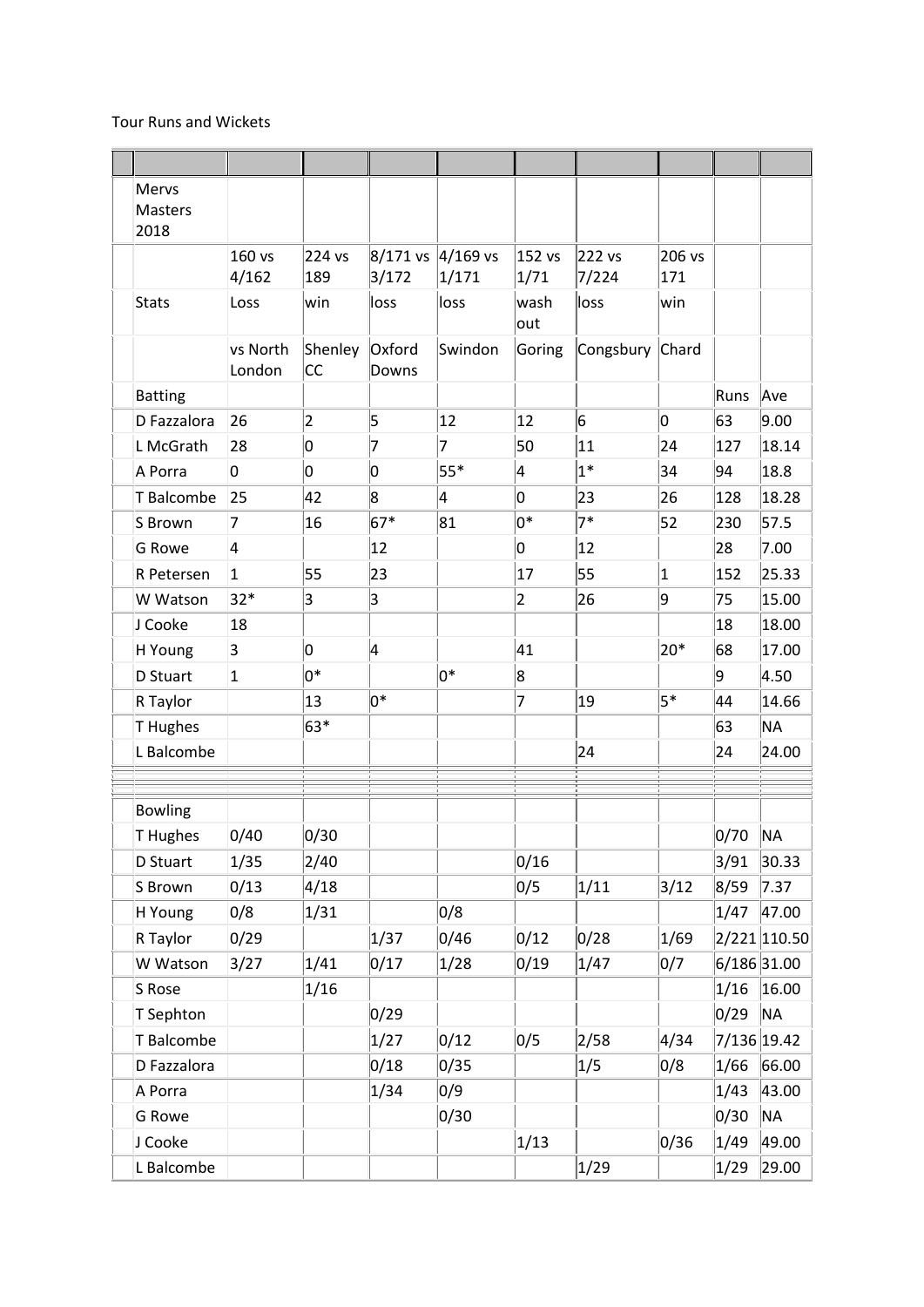## Tour Runs and Wickets

| <b>Mervs</b>           |                    |               |                   |                      |                |                 |               |      |              |
|------------------------|--------------------|---------------|-------------------|----------------------|----------------|-----------------|---------------|------|--------------|
| <b>Masters</b><br>2018 |                    |               |                   |                      |                |                 |               |      |              |
|                        | 160 vs<br>4/162    | 224 vs<br>189 | 8/171 vs<br>3/172 | $ 4/169$ vs<br>1/171 | 152 vs<br>1/71 | 222 vs<br>7/224 | 206 vs<br>171 |      |              |
| <b>Stats</b>           | Loss               | win           | loss              | loss                 | wash<br>out    | loss            | win           |      |              |
|                        | vs North<br>London | Shenley<br>СC | Oxford<br>Downs   | Swindon              | Goring         | Congsbury       | Chard         |      |              |
| <b>Batting</b>         |                    |               |                   |                      |                |                 |               | Runs | Ave          |
| D Fazzalora            | 26                 | 2             | 5                 | 12                   | 12             | 6               | 0             | 63   | 9.00         |
| L McGrath              | 28                 | o             | 7                 | $\overline{7}$       | 50             | 11              | 24            | 127  | 18.14        |
| A Porra                | O                  | 0             | 0                 | $55*$                | 4              | $1*$            | 34            | 94   | 18.8         |
| T Balcombe             | 25                 | 42            | 8                 | 4                    | O              | 23              | 26            | 128  | 18.28        |
| S Brown                | 7                  | 16            | $67*$             | 81                   | 0*             | $7*$            | 52            | 230  | 57.5         |
| <b>G</b> Rowe          | 4                  |               | 12                |                      | 0              | 12              |               | 28   | 7.00         |
| R Petersen             | $\mathbf{1}$       | 55            | 23                |                      | 17             | 55              | $\mathbf 1$   | 152  | 25.33        |
| W Watson               | $32*$              | 3             | 3                 |                      | $\overline{2}$ | 26              | 9             | 75   | 15.00        |
| J Cooke                | 18                 |               |                   |                      |                |                 |               | 18   | 18.00        |
| H Young                | 3                  | O             | 4                 |                      | 41             |                 | $20*$         | 68   | 17.00        |
| D Stuart               | $\overline{1}$     | $0^*$         |                   | lo*                  | 8              |                 |               | g    | 4.50         |
| R Taylor               |                    | 13            | 0*                |                      | 7              | 19              | $5*$          | 44   | 14.66        |
| T Hughes               |                    | 63*           |                   |                      |                |                 |               | 63   | <b>NA</b>    |
| L Balcombe             |                    |               |                   |                      |                | 24              |               | 24   | 24.00        |
|                        |                    |               |                   |                      |                |                 |               |      |              |
| <b>Bowling</b>         |                    |               |                   |                      |                |                 |               |      |              |
| T Hughes               | 0/40               | 0/30          |                   |                      |                |                 |               | 0/70 | <b>NA</b>    |
| D Stuart               | 1/35               | 2/40          |                   |                      | 0/16           |                 |               | 3/91 | 30.33        |
| S Brown                | 0/13               | 4/18          |                   |                      | 0/5            | 1/11            | 3/12          | 8/59 | 7.37         |
| H Young                | 0/8                | 1/31          |                   | 0/8                  |                |                 |               | 1/47 | 47.00        |
| R Taylor               | 0/29               |               | 1/37              | 0/46                 | 0/12           | 0/28            | 1/69          |      | 2/221 110.50 |
| W Watson               | 3/27               | 1/41          | 0/17              | 1/28                 | 0/19           | 1/47            | 0/7           |      | 6/186 31.00  |
| S Rose                 |                    | 1/16          |                   |                      |                |                 |               | 1/16 | 16.00        |
| T Sephton              |                    |               | 0/29              |                      |                |                 |               | 0/29 | <b>NA</b>    |
| T Balcombe             |                    |               | 1/27              | 0/12                 | 0/5            | 2/58            | 4/34          |      | 7/136 19.42  |
| D Fazzalora            |                    |               | 0/18              | 0/35                 |                | 1/5             | 0/8           | 1/66 | 66.00        |
| A Porra                |                    |               | 1/34              | 0/9                  |                |                 |               | 1/43 | 43.00        |
| <b>G</b> Rowe          |                    |               |                   | 0/30                 |                |                 |               | 0/30 | <b>NA</b>    |
| J Cooke                |                    |               |                   |                      | 1/13           |                 | 0/36          | 1/49 | 49.00        |
| L Balcombe             |                    |               |                   |                      |                | 1/29            |               | 1/29 | 29.00        |